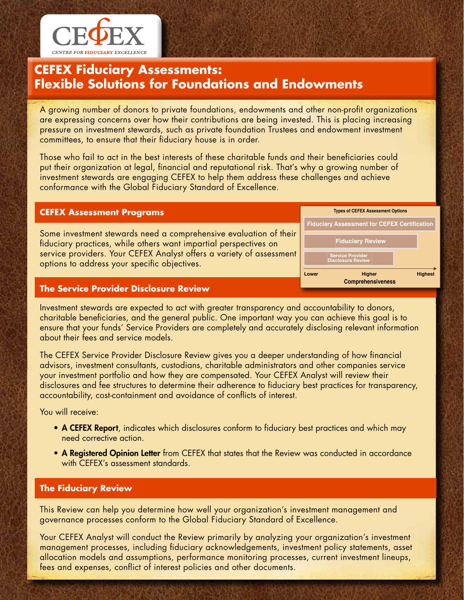

# **CEFEX Fiduciary Assessments: Flexible Solutions for Foundations and Endowments**

A growing number of donors to private foundations, endowments and other non-profit organizations are expressing concerns over how their contributions are being invested. This is placing increasing pressure on investment stewards, such as private foundation Trustees and endowment investment committees, to ensure that their fiduciary house is in order.

Those who fail to act in the best interests of these charitable funds and their beneficiaries could put their organization at legal, financial and reputational risk. That's why a growing number of investment stewards are engaging CEFEX to help them address these challenges and achieve conformance with the Global Fiduciary Standard of Excellence.

## **CEFEX Assessment Programs**

Some investment stewards need a comprehensive evaluation of their fiduciary practices, while others want impartial perspectives on service providers. Your CEFEX Analyst offers a variety of assessment options to address your specific objectives.



### **The Service Provider Disclosure Review**

Investment stewards are expected to act with greater transparency and accountability to donors, charitable beneficiaries, and the general public. One important way you can achieve this goal is to ensure that your funds' Service Providers are completely and accurately disclosing relevant information about their fees and service models.

The CEFEX Service Provider Disclosure Review gives you a deeper understanding of how financial advisors, investment consultants, custodians, charitable administrators and other companies service your investment portfolio and how they are compensated. Your CEFEX Analyst will review their disclosures and fee structures to determine their adherence to fiduciary best practices for transparency, accountability, cost-containment and avoidance of conflicts of interest.

You will receive:

- A CEFEX Report, indicates which disclosures conform to fiduciary best practices and which may need corrective action.
- A Registered Opinion Letter from CEFEX that states that the Review was conducted in accordance with CEFEX's assessment standards.

### **The Fiduciary Review**

This Review can help you determine how well your organization's investment management and governance processes conform to the Global Fiduciary Standard of Excellence.

Your CEFEX Analyst will conduct the Review primarily by analyzing your organization's investment management processes, including fiduciary acknowledgements, investment policy statements, asset allocation models and assumptions, performance monitoring processes, current investment lineups, fees and expenses, conflict of interest policies and other documents.